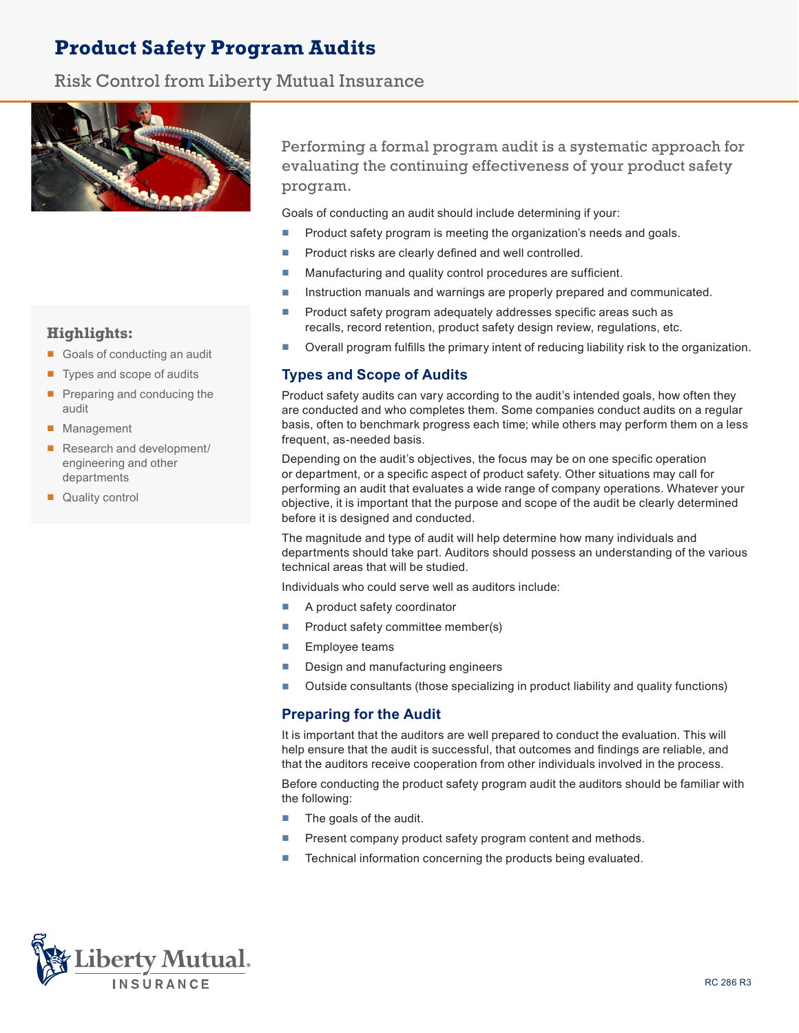# **Product Safety Program Audits**

# Risk Control from Liberty Mutual Insurance



**Highlights:**

- Goals of conducting an audit
- Types and scope of audits
- Preparing and conducing the audit
- Management
- Research and development/ engineering and other departments
- Quality control

Performing a formal program audit is a systematic approach for evaluating the continuing effectiveness of your product safety program.

Goals of conducting an audit should include determining if your:

- Product safety program is meeting the organization's needs and goals.
- Product risks are clearly defined and well controlled.
- Manufacturing and quality control procedures are sufficient.
- Instruction manuals and warnings are properly prepared and communicated.
- Product safety program adequately addresses specific areas such as recalls, record retention, product safety design review, regulations, etc.
- Overall program fulfills the primary intent of reducing liability risk to the organization.

# **Types and Scope of Audits**

Product safety audits can vary according to the audit's intended goals, how often they are conducted and who completes them. Some companies conduct audits on a regular basis, often to benchmark progress each time; while others may perform them on a less frequent, as-needed basis.

Depending on the audit's objectives, the focus may be on one specific operation or department, or a specific aspect of product safety. Other situations may call for performing an audit that evaluates a wide range of company operations. Whatever your objective, it is important that the purpose and scope of the audit be clearly determined before it is designed and conducted.

The magnitude and type of audit will help determine how many individuals and departments should take part. Auditors should possess an understanding of the various technical areas that will be studied.

Individuals who could serve well as auditors include:

- A product safety coordinator
- Product safety committee member(s)
- Employee teams
- Design and manufacturing engineers
- Outside consultants (those specializing in product liability and quality functions)

# **Preparing for the Audit**

It is important that the auditors are well prepared to conduct the evaluation. This will help ensure that the audit is successful, that outcomes and findings are reliable, and that the auditors receive cooperation from other individuals involved in the process.

Before conducting the product safety program audit the auditors should be familiar with the following:

- The goals of the audit.
- Present company product safety program content and methods.
- Technical information concerning the products being evaluated.

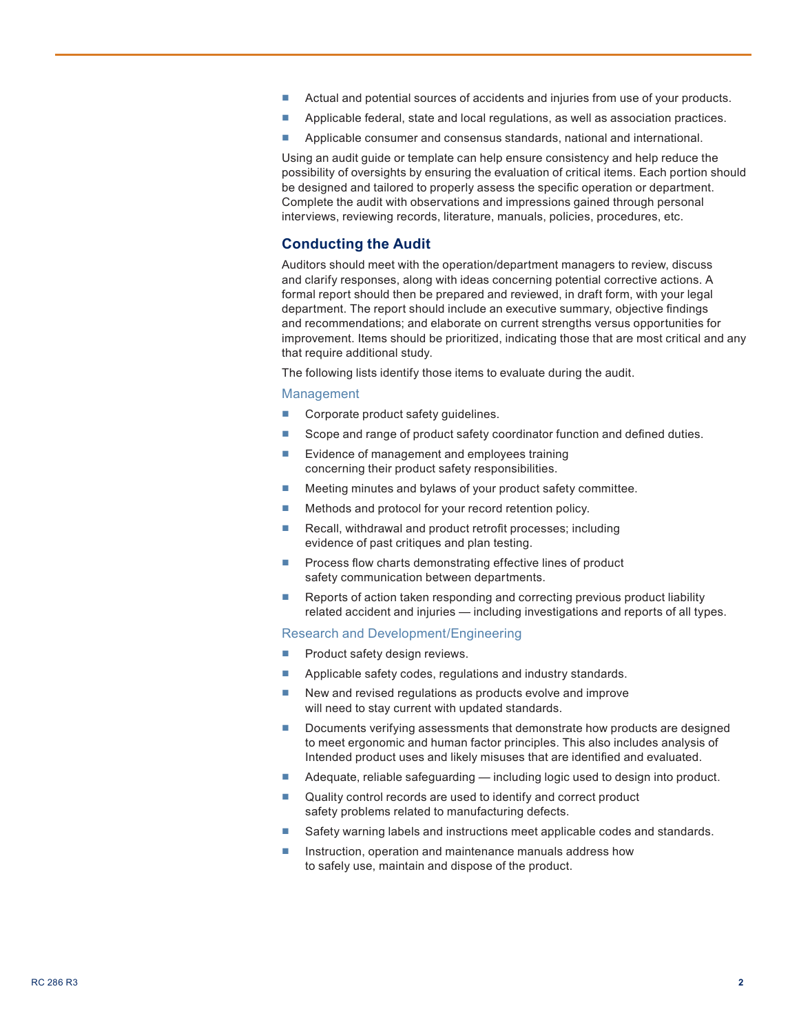- Actual and potential sources of accidents and injuries from use of your products.
- Applicable federal, state and local regulations, as well as association practices.
- Applicable consumer and consensus standards, national and international.

Using an audit guide or template can help ensure consistency and help reduce the possibility of oversights by ensuring the evaluation of critical items. Each portion should be designed and tailored to properly assess the specific operation or department. Complete the audit with observations and impressions gained through personal interviews, reviewing records, literature, manuals, policies, procedures, etc.

# **Conducting the Audit**

Auditors should meet with the operation/department managers to review, discuss and clarify responses, along with ideas concerning potential corrective actions. A formal report should then be prepared and reviewed, in draft form, with your legal department. The report should include an executive summary, objective findings and recommendations; and elaborate on current strengths versus opportunities for improvement. Items should be prioritized, indicating those that are most critical and any that require additional study.

The following lists identify those items to evaluate during the audit.

#### Management

- Corporate product safety guidelines.
- Scope and range of product safety coordinator function and defined duties.
- Evidence of management and employees training concerning their product safety responsibilities.
- Meeting minutes and bylaws of your product safety committee.
- Methods and protocol for your record retention policy.
- Recall, withdrawal and product retrofit processes; including evidence of past critiques and plan testing.
- Process flow charts demonstrating effective lines of product safety communication between departments.
- Reports of action taken responding and correcting previous product liability related accident and injuries — including investigations and reports of all types.

#### Research and Development/Engineering

- Product safety design reviews.
- Applicable safety codes, regulations and industry standards.
- New and revised regulations as products evolve and improve will need to stay current with updated standards.
- Documents verifying assessments that demonstrate how products are designed to meet ergonomic and human factor principles. This also includes analysis of Intended product uses and likely misuses that are identified and evaluated.
- Adequate, reliable safeguarding including logic used to design into product.
- Quality control records are used to identify and correct product safety problems related to manufacturing defects.
- Safety warning labels and instructions meet applicable codes and standards.
- Instruction, operation and maintenance manuals address how to safely use, maintain and dispose of the product.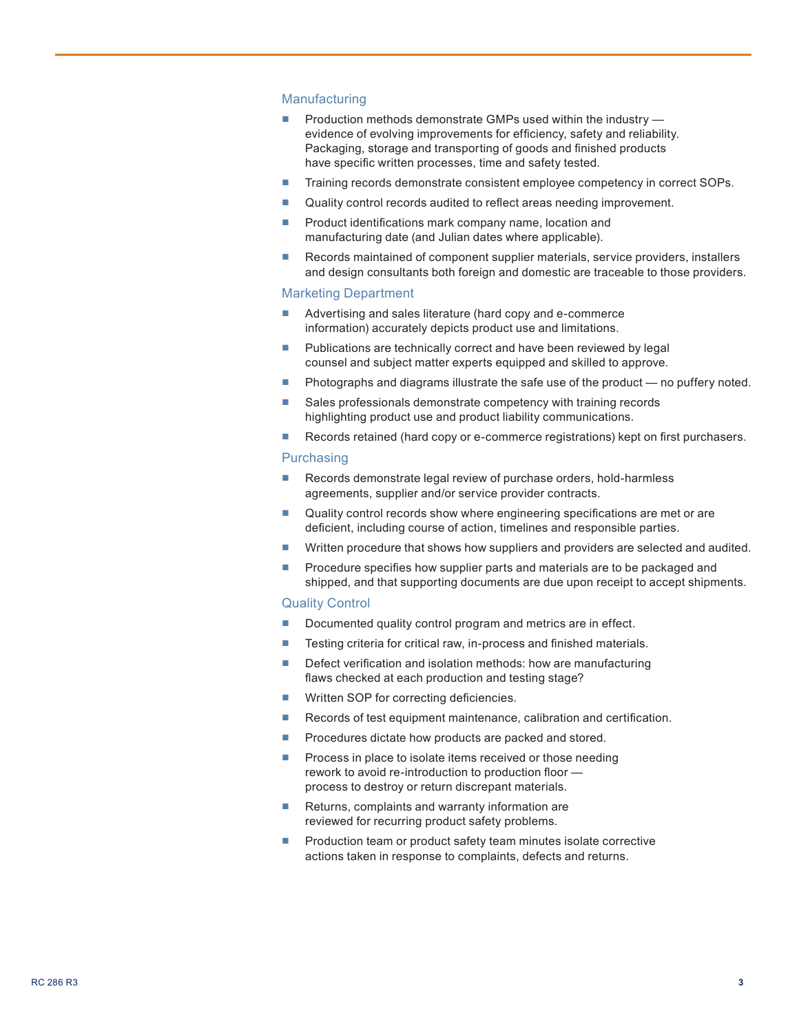## **Manufacturing**

- Production methods demonstrate GMPs used within the industry evidence of evolving improvements for efficiency, safety and reliability. Packaging, storage and transporting of goods and finished products have specific written processes, time and safety tested.
- Training records demonstrate consistent employee competency in correct SOPs.
- Quality control records audited to reflect areas needing improvement.
- Product identifications mark company name, location and manufacturing date (and Julian dates where applicable).
- Records maintained of component supplier materials, service providers, installers and design consultants both foreign and domestic are traceable to those providers.

## Marketing Department

- Advertising and sales literature (hard copy and e-commerce information) accurately depicts product use and limitations.
- Publications are technically correct and have been reviewed by legal counsel and subject matter experts equipped and skilled to approve.
- Photographs and diagrams illustrate the safe use of the product no puffery noted.
- Sales professionals demonstrate competency with training records highlighting product use and product liability communications.
- Records retained (hard copy or e-commerce registrations) kept on first purchasers.

#### **Purchasing**

- Records demonstrate legal review of purchase orders, hold-harmless agreements, supplier and/or service provider contracts.
- Quality control records show where engineering specifications are met or are deficient, including course of action, timelines and responsible parties.
- Written procedure that shows how suppliers and providers are selected and audited.
- Procedure specifies how supplier parts and materials are to be packaged and shipped, and that supporting documents are due upon receipt to accept shipments.

#### Quality Control

- Documented quality control program and metrics are in effect.
- Testing criteria for critical raw, in-process and finished materials.
- Defect verification and isolation methods: how are manufacturing flaws checked at each production and testing stage?
- Written SOP for correcting deficiencies.
- Records of test equipment maintenance, calibration and certification.
- Procedures dictate how products are packed and stored.
- Process in place to isolate items received or those needing rework to avoid re-introduction to production floor process to destroy or return discrepant materials.
- Returns, complaints and warranty information are reviewed for recurring product safety problems.
- Production team or product safety team minutes isolate corrective actions taken in response to complaints, defects and returns.